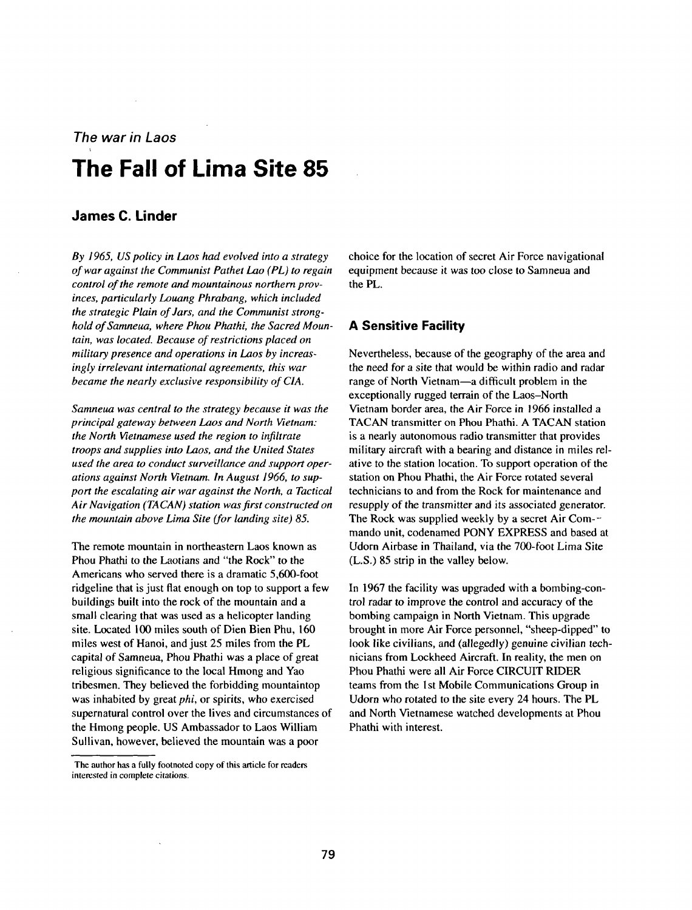# **The war in Laos**

# **The Fall of Lima Site 85**

## **James C. Linder**

**By 1965, US policy in Laos had evolved into a strategy of war against the Communist Pathet Lao (PL) to regain control of the remote and mountainous northern prov inces, particularly Louang Phrabang, which included the strategic Plain of Jars, and the Communist strong hold of Samneua, where Phou Phathi, the Sacred Moun tain, was located. Because of restrictions placed on military presence and operations in Laos by increas ingly irrelevant international agreements, this war became the nearly exclusive responsibility of CIA.**

**Samneua was central to the strategy because it was the principal gateway between Laos and North Vietnam: the North Vietnamese used the region to infi It rate troops and supplies into Laos, and the United States used the area to conduct surveillance and support oper ations against North Vietnam. In August 1966, to sup port the escalating air war against the North, a Tactical Air Navigation (TA CAN) station was first constructed on the mountain above Lima Site (for landing site) 85.**

**The remote mountain in northeastern Laos known as Phou Phathi to the Laotians and the Rock to the Americans who served there is <sup>a</sup> dramatic 5,600-foot ridgeline that is just flat enough on top to support <sup>a</sup> few buildings built into the rock of the mountain and a small clearing that was used as a helicopter landing site. Located 100 miles south of Dien Bien Phu, 160 miles west of Hanoi, and just 25 miles from the PL capital of Samneua, Phou Phathi was <sup>a</sup> place of great religious significance to the local Hmong and Yao tribesmen. They believed the forbidding mountaintop was inhabited by great phi, or spirits, who exercised supernatural control over the lives and circumstances of the Hmong people. US Ambassador to Laos William Sullivan, however, believed the mountain was <sup>a</sup> poor**

**choice for the location of secret Air Force navigational equipment because it was too close to Samneua and the PL.**

### **A Sensitive Facility**

**Nevertheless, because of the geography of the area and the need for a site that would be within radio and radar range** of North Vietnam—a difficult problem in the **exceptionally rugged terrain** of the Laos-North **Vietnam border area, the Air Force in 1966 installed a TACAN transmitter on Phou Phathi. A TACAN station is a nearly autonomous radio transmitter that provides military aircraft with a bearing and distance in miles rel ative to the station location. To support operation of the station on Phou Phathi, the Air Force rotated several technicians to and from the Rock for maintenance and resupply of the transmitter and its associated generator. The Rock was supplied weekly by <sup>a</sup> secret Air Corn- mando unit, codenarned PONY EXPRESS and based at Udorn Airbase in Thailand, via the 700-foot Lima Site (L.S.) 85 strip in the valley below.**

**In 1967 the facility was upgraded with a bombing-con trol radar to improve the control and accuracy of the bombing campaign in North Vietnam. This upgrade brought in more Air Force personnel, sheep-dipped to look like civilians, and (allegedly) genuine civilian tech nicians from Lockheed Aircraft. In reality, the men on Phou Phathi were all Air Force CIRCUIT RIDER teams from the 1st Mobile Communications Group in Udorn who rotated to the site every <sup>24</sup> hours. The PL and North Vietnamese watched developments at Phou Phathi with interest.**

**The author has <sup>a</sup> fully footnoted copy of this article for readers interested in complete citations.**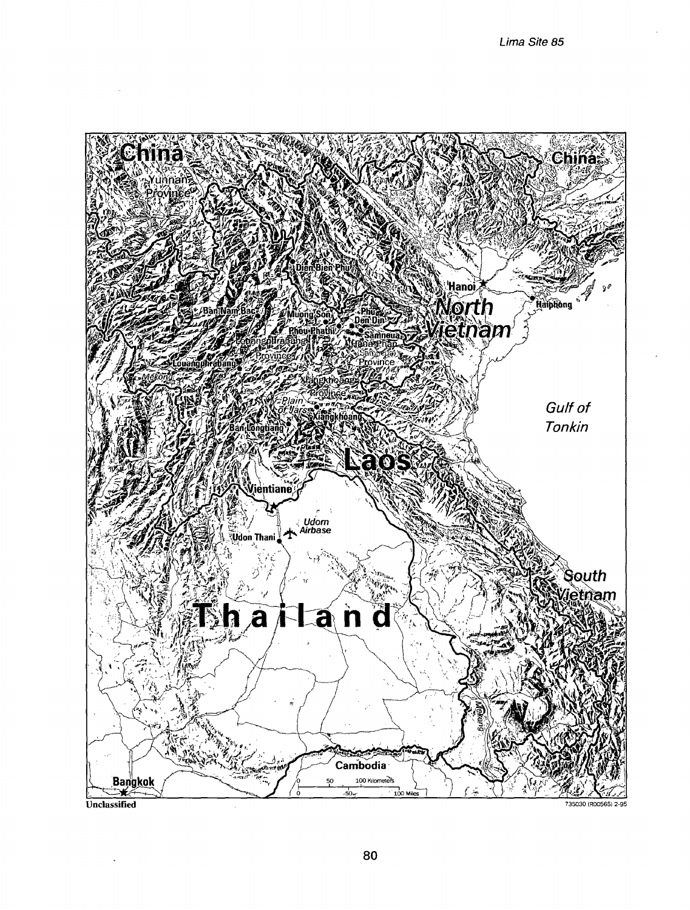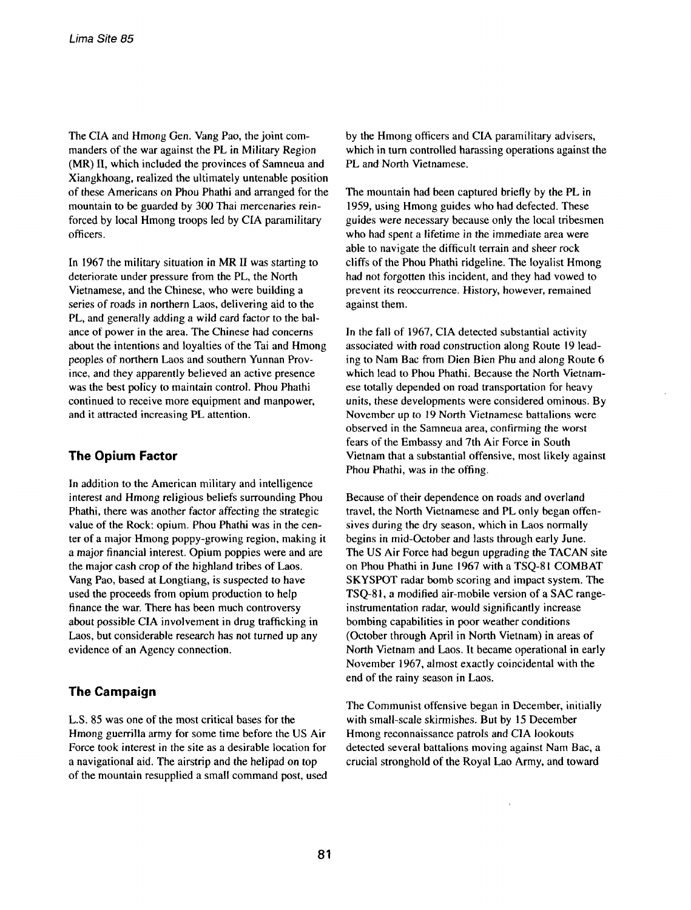**The CIA and Hmong Gen. Vang Pao, the joint com manders of the war against the PL in Military Region (MR) II, which included the provinces of Samneua and Xiangkhoang, realized the ultimately untenable position of these Americans on Phou Phathi and arranged for the mountain to be guarded by 300 Thai mercenaries rein forced by local Hmong troops led by CIA paramilitary officers.**

**In <sup>1967</sup> the military situation in MR II was starting to deteriorate under pressure from the PL, the North Vietnamese, and the Chinese, who were building <sup>a</sup> series of roads in northern Laos, delivering aid to the PL, and generally adding a wild card factor to the bal ance of power in the area. The Chinese had concerns about the intentions and loyalties of the Tai and Hmong peoples of northern Laos and southern Yunnan Prov ince, and they apparently believed an active presence was the best policy to maintain control. Phou Phathi continued to receive more equipment and manpower, and it attracted increasing PL attention.**

# **The Opium Factor**

**In addition to the American military and intelligence interest and Hmong religious beliefs surrounding Phou Phathi, there was another factor affecting the strategic value of the Rock: opium. Phou Phathi was in the cen ter of <sup>a</sup> major Hmong poppy-growing region, making it a major financial interest. Opium poppies were and are the major cash crop of the highland tribes of Laos. Vang Pao, based at Longtiang, is suspected to have used the proceeds from opium production to help finance the war. There has been much controversy about possible CIA involvement in drug trafficking in Laos, but considerable research has not turned up any evidence of an Agency connection.**

## **The Campaign**

**L.S. 85 was one of the most critical bases for the Hmong guerrilla army for some time before the US Air Force took interest in the site as a desirable location for <sup>a</sup> navigational aid. The airstrip and the helipad on top of the mountain resupplied <sup>a</sup> small command post, used** **by the Hmong officers and CIA paramilitary advisers, which in turn controlled harassing operations against the PL and North Vietnamese.**

**The mountain had been captured briefly by the PL in 1959, using Hmong guides who had defected. These guides were necessary because only the local tribesmen who had spent <sup>a</sup> lifetime in the immediate area were able to navigate the difficult terrain and sheer rock cliffs of the Phou Phathi ridgeline. The loyalist Hmong had not forgotten this incident, and they had vowed to prevent its reoccurrence. History, however, remained against them.**

**In the fall of 1967, CIA detected substantial activity associated with road construction along Route <sup>19</sup> lead ing to Nani Bac from Dien Bien Phu and along Route 6 which lead to Phou Phathi. Because the North Vietnam ese totally depended on road transportation for heavy units, these developments were considered ominous. By November up to <sup>19</sup> North Vietnamese battalions were observed in the Samneua area, confirming the worst fears of the Embassy and 7th Air Force in South Vietnam that a substantial offensive, most likely against Phou Phathi, was in the offing.**

**Because of their dependence on roads and overland travel, the North Vietnamese and PL only began offen sives during the dry season, which in Laos normally begins in mid-October and lasts through early June. The US Air Force had begun upgrading the TACAN site on Phou Phathi in June <sup>1967</sup> with <sup>a</sup> TSQ-8l COMBAT SKYSPOT radar bomb scoring and impact system. The TSQ-8 1, <sup>a</sup> modified air-mobile version of <sup>a</sup> SAC rangeinstrumentation radar, would significantly increase bombing capabilities in poor weather conditions (October through April in North Vietnam) in areas of North Vietnam and Laos. It became operational in early November 1967, almost exactly coincidental with the end of the rainy season in Laos.**

**The Communist offensive began in December, initially with small-scale skirmishes. But by <sup>15</sup> December Hmong reconnaissance patrols and CIA lookouts detected several battalions moving against Nam Bac, <sup>a</sup> crucial stronghold of the Royal Lao Army, and toward**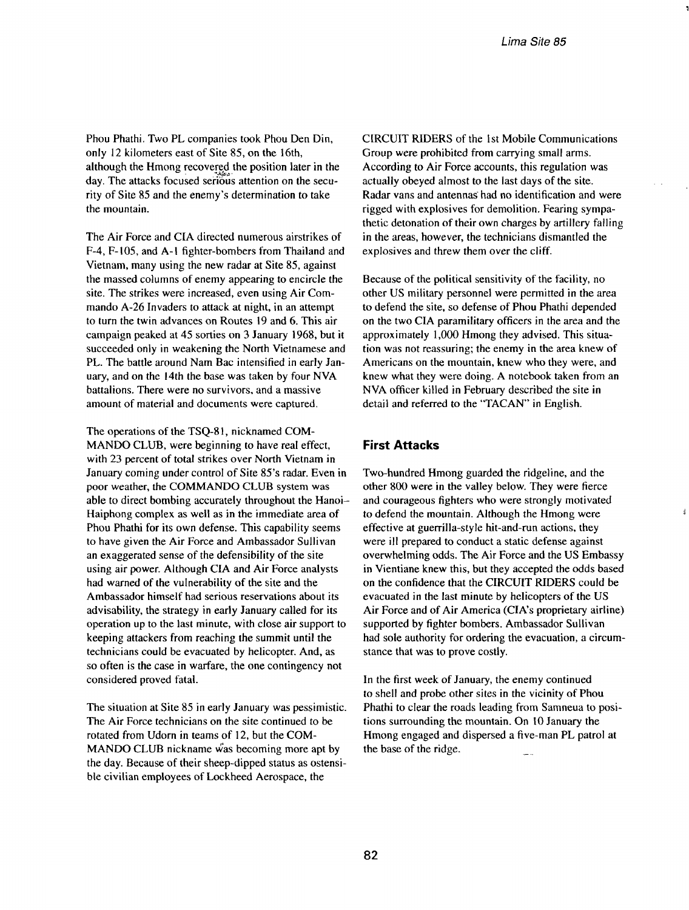**Phou Phathi. Two PL companies took Phou Den Din, only 12 kilometers east of Site 85, on the 16th, although the Hmong recoverçd the position later in the day. The attacks focused serious attention on the secu rity of Site 85 and the enemys determination to take the mountain.**

**The Air Force and CIA directed numerous airstrikes of F-4, F-105, and A-I fighter-bombers from Thailand and Vietnam, many using the new radar at Site 85, against the massed columns of enemy appearing to encircle the site. The strikes were increased, even using Air Com mando A-26 Invaders to attack at night, in an attempt to turn the twin advances on Routes 19 and 6. This air campaign peaked at 45 sorties on 3 January 1968, but it succeeded only in weakening the North Vietnamese and PL. The battle around Nam Bac intensified in early Jan uary, and on the 14th the base was taken by four NVA battalions. There were no survivors, and a massive amount of material and documents were captured.**

**The operations of the TSQ-8 1, nicknamed COM MANDO CLUB, were beginning to have real effect, with 23 percent of total strikes over North Vietnam in January coming under control of Site 85s radar. Even in poor weather, the COMMANDO CLUB system was able to direct bombing accurately throughout the Hanoi Haiphong complex as well as in the immediate area of Phou Phathi for its own defense. This capability seems to have given the Air Force and Ambassador Sullivan an exaggerated sense of the defensibility of the site using air power. Although CIA and Air Force analysts had warned of the vulnerability of the site and the Ambassador himself had serious reservations about its advisability, the strategy in early January called for its operation up to the last minute, with close air support to keeping attackers from reaching the summit until the technicians could be evacuated by helicopter. Arid, as so often is the case in warfare, the one contingency not considered proved fatal.**

**The situation at Site 85 in early January was pessimistic. The Air Force technicians on the site continued to be rotated from Udorn in teams of 12, but the COM MANDO CLUB nickname ~as becoming more apt by the day. Because of their sheep-dipped status as ostensi ble civilian employees of Lockheed Aerospace, the**

**CIRCUIT RIDERS of the 1st Mobile Communications Group were prohibited from carrying small arms. According to Air Force accounts, this regulation was actually obeyed almost to the last days of the site. Radar vans arid antennaS had no identification and were rigged with explosives for demolition. Fearing sympa thetic detonation of their own charges by artillery falling in the areas, however, the technicians dismantled the explosives and threw them over the cliff.**

**Because of the political sensitivity of the facility, no other US military personnel were permitted in the area to defend the site, so defense of Phou Phathi depended on the two CIA paramilitary officers in the area and the approximately 1,000 Hmong they advised. This situa tion was not reassuring; the enemy in the area knew of Americans on the mountain, knew who they were, and knew what they were doing. A notebook taken from an NVA officer killed in February described the site in detail and referred to the TACAN in English.**

#### **First Attacks**

**Two-hundred Hmong guarded the ridgeline, and the other 800 were in the valley below. They were fierce and courageous fighters who were strongly motivated to defend the mountain. Although the Hmong were effective at guerrilla-style hit-and-run actions, they were ill prepared to conduct a static defense against overwhelming odds. The Air Force and the US Embassy in Vientiane knew this, but they accepted the odds based on the confidence that the CIRCUIT RIDERS could be evacuated in the last minute by helicopters of the US Air Force and of Air America (CIAs proprietary airline) supported by fighter bombers. Ambassador Sullivan had sole authority for ordering the evacuation, <sup>a</sup> circum stance that was to prove costly.**

**In the first week of January, the enemy continued to shell and probe other sites in the vicinity of Phou Phathi to clear the roads leading from Samneua to posi tions surrounding the mountain. On <sup>10</sup> January the Hmong engaged and dispersed <sup>a</sup> five-man PL patrol at the base of the ridge.**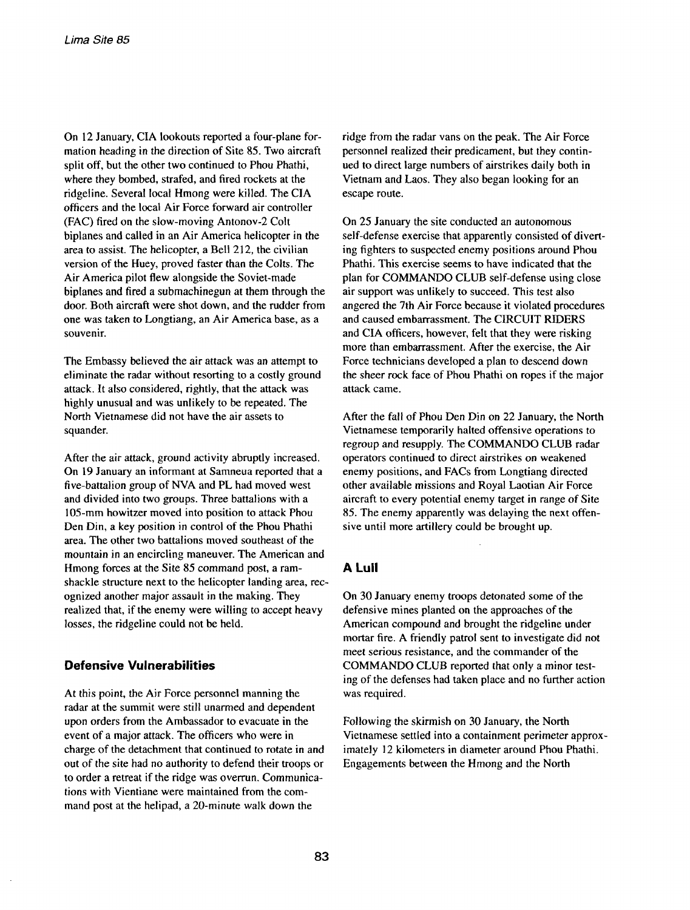**On <sup>12</sup> January, CIA lookouts reported <sup>a</sup> four-plane for mation heading in the direction of Site 85. Two aircraft split off, but the other two continued to Phou Phathi, where they bombed, strafed, and fired rockets at the ridgeline. Several local Hmong were killed. The CIA officers and the local Air Force forward air controller (FAC) fired on the slow-moving Antonov-2 Colt biplanes and called in an Air America helicopter in the area to assist. The helicopter, <sup>a</sup> Bell 212, the civilian version of the Huey, proved faster than the Colts. The Air America pilot flew alongside the Soviet-made biplanes and fired <sup>a</sup> subrnachinegun at them through the door. Both aircraft were shot down, and the rudder from one was taken to Longtiang, an Air America base, as a souvenir.**

**The Embassy believed the air attack was an attempt to eliminate the radar without resorting to a costly ground attack. It also considered, rightly, that the attack was highly unusual and was unlikely to be repeated. The North Vietnamese did not have the air assets to squander.**

**After the air attack, ground activity abruptly increased. On <sup>19</sup> January an informant at Samneua reported that <sup>a</sup> five-battalion group of NVA and PL had moved west and divided into two groups. Three battalions with <sup>a</sup> 105-mm howitzer moved into position to attack Phou Den Din, <sup>a</sup> key position in control of the Phou Phathi area. The other two battalions moved southeast of the mountain in an encircling maneuver. The American and Hmong forces at the Site <sup>85</sup> command post, <sup>a</sup> ram shackle structure next to the helicopter landing area, rec ognized another major assault in the making. They realized that, if the enemy were willing to accept heavy losses, the ridgeline could not be held.**

## **Defensive Vulnerabilities**

**At this point, the Air Force personnel manning the radar at the summit were still unarmed and dependent upon orders from the Ambassador to evacuate in the event of <sup>a</sup> major attack. The officers who were in charge of the detachment that continued to rotate in and out of the site had no authority to defend their troops or to order <sup>a</sup> retreat if the ridge was overrun. Communica tions with Vientiane were maintained from the com mand post at the helipad, <sup>a</sup> 20-minute walk down the**

**ridge from the radar vans on the peak. The Air Force personnel realized their predicament, but they contin ued to direct large numbers of airstrikes daily both in Vietnam and Laos. They also began looking for an escape route.**

**On 25 January the site conducted an autonomous self-defense exercise that apparently consisted of divert ing fighters to suspected enemy positions around Phou Phathi. This exercise seems to have indicated that the plan for COMMANDO CLUB self-defense using close air support was unlikely to succeed. This test also angered the 7th Air Force because it violated procedures and caused embarrassment. The CIRCUIT RIDERS and CIA officers, however, felt that they were risking more than embarrassment. After the exercise, the Air Force technicians developed <sup>a</sup> plan to descend down the sheer rock face of Phou Phathi on ropes if the major attack came.**

**After the fall of Phou Den Din on 22 January, the North Vietnamese temporarily halted offensive operations to regroup and resupply. The COMMANDO CLUB radar operators continued to direct airstrikes on weakened enemy positions, and FACs from Longtiang directed other available missions and Royal Laotian Air Force aircraft to every potential enemy target in range of Site 85. The enemy apparently was delaying the next offen sive until more artillery could be brought up.**

## **A Lull**

**On 30 January enemy troops detonated some of the defensive mines planted on the approaches of the American compound and brought the ridgeline under mortar fire. A friendly patrol sent to investigate did not meet serious resistance, and the commander of the COMMANDO CLUB reported that only <sup>a</sup> minor test ing of the defenses had taken place and no further action was required.**

**Following the skirmish on 30 January, the North Vietnamese settled into <sup>a</sup> containment perimeter approx imately 12 kilometers in diameter around Phou Phathi. Engagements between the Hmong and the North**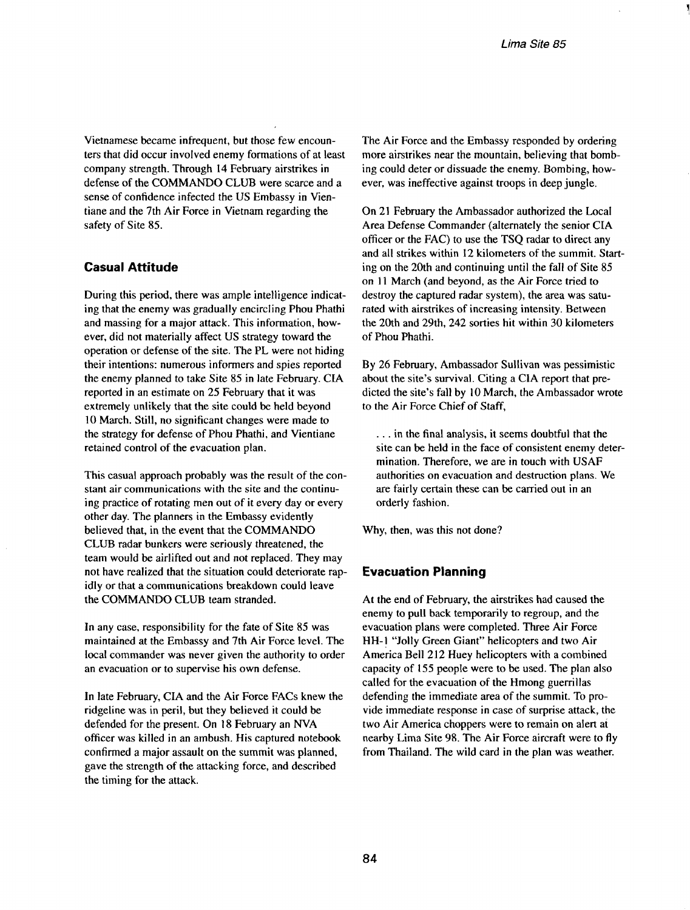**Vietnamese became infrequent, but those few encoun ters that did occur involved enemy formations of at least company strength. Through 14 February airstrikes in defense of the COMMANDO CLUB were scarce and <sup>a</sup> sense of confidence infected the US Embassy in Vien tiane and the 7th Air Force in Vietnam regarding the safety of Site 85.**

## **Casual Attitude**

**During this period, there was ample intelligence indicat ing that the enemy was gradually encircling Phou Phathi and massing for <sup>a</sup> major attack. This information, how ever, did not materially affect US strategy toward the operation or defense of the site. The PL were not hiding their intentions: numerous informers and spies reported the enemy planned to take Site <sup>85</sup> in late February. CIA reported in an estimate on 25 February that it was extremely unlikely that the site could be held beyond 10 March. Still, no significant changes were made to the strategy for defense of Phou Phathi, and Vientiane retained control of the evacuation plan.**

**This casual approach probably was the result of the con stant air communications with the site and the continu ing practice of rotating men out of it every day or every other day. The planners in the Embassy evidently believed that, in the event that the COMMANDO CLUB radar bunkers were seriously threatened, the team would be airlifted out and not replaced. They may not have realized that the situation could deteriorate rap idly or that a communications breakdown could leave the COMMANDO CLUB team stranded.**

**In any case, responsibility for the fate of Site 85 was maintained at the Embassy and 7th Air Force level. The local commander was never given the authority to order an evacuation or to supervise his own defense.**

**In late February, CIA and the Air Force FACs knew the ridgeline was in peril, but they believed it could be defended for the present. On <sup>18</sup> February an NVA officer was killed in an ambush. His captured notebook confirmed <sup>a</sup> major assault on the summit was planned, gave the strength of the attacking force, and described the timing for the attack.**

**The Air Force and the Embassy responded by ordering more airstrikes near the mountain, believing that bomb ing could deter or dissuade the enemy. Bombing, how ever, was ineffective against troops in deep jungle.**

**On <sup>21</sup> February the Ambassador authorized the Local Area Defense Commander (alternately the senior CIA officer or the FAC) to use the TSQ radar to direct any and all strikes within 12 kilometers of the summit. Start ing on the 20th and continuing until the fall of Site 85 on <sup>11</sup> March (and beyond, as the Air Force tried to destroy the captured radar system), the area was satu rated with airstrikes of increasing intensity. Between the 20th and 29th, 242 sorties hit within 30 kilometers of Phou Phathi.**

**By 26 February, Ambassador Sullivan was pessimistic about** the site's survival. Citing a CIA report that pre**dicted** the site's fall by 10 March, the Ambassador wrote **to the Air Force Chief of Staff,**

**. . in the final analysis, it seems doubtful that the site can be held in the face of consistent enemy deter mination. Therefore, we are in touch with USAF authorities on evacuation and destruction plans. We are fairly certain these can be carried out in an orderly fashion.**

**Why, then, was this not done?**

## **Evacuation Planning**

**At the end of February, the airstrikes had caused the enemy to pull back temporarily to regroup, and the evacuation plans were completed. Three Air Force HH-! Jolly Green Giant helicopters and two Air America Bell 212 Huey helicopters with <sup>a</sup> combined capacity of 155 people were to be used. The plan also called for the evacuation of the Hmong guerrillas defending the immediate area of the summit. To pro vide immediate response in case of surprise attack, the two** Air America choppers were to remain on alert at **nearby Lima Site 98. The Air Force aircraft were to fly from Thailand. The wild card in the plan was weather.**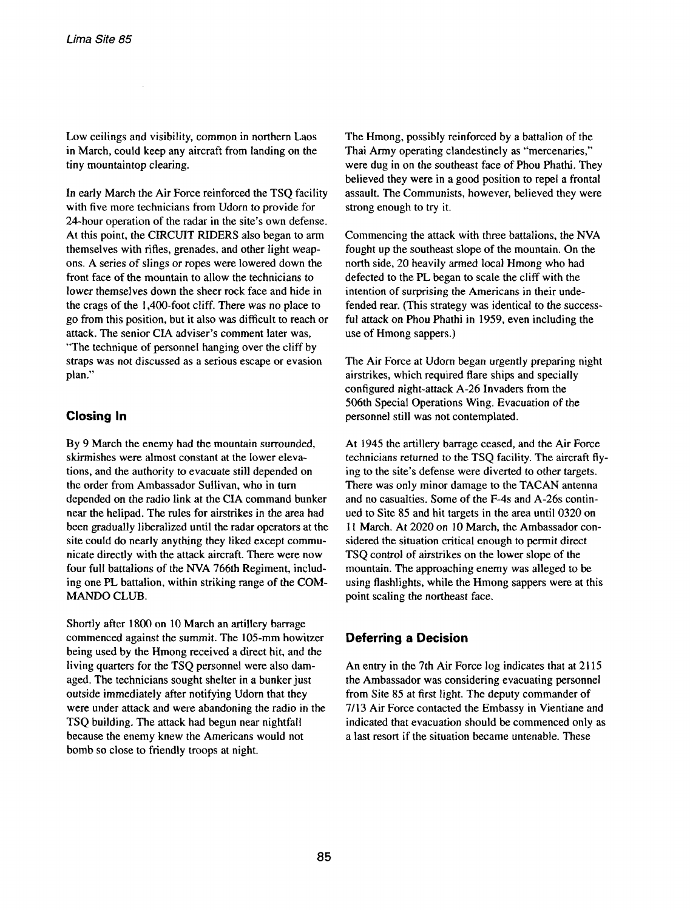**Low ceilings and visibility, common in northern Laos in March, could keep any aircraft from landing on the tiny mountaintop clearing.**

**In early March the Air Force reinforced the TSQ facility with five more technicians from Udorn to provide for 24-hour operation** of the radar in the site's own defense. **At this point, the CIRCUIT RIDERS also began to arm themselves with rifles, grenades, and other light weap ons. A series of slings or ropes were lowered down the front face of the mountain to allow the technicians to lower themselves down the sheer rock face and hide in the crags of the 1,400-foot cliff. There was no place to go from this position, but it also was difficult to reach or attack.** The senior CIA adviser's comment later was, **The technique of personnel hanging over the cliff by straps was not discussed as <sup>a</sup> serious escape or evasion plan.**

## **Closing In**

**By <sup>9</sup> March the enemy had the mountain surrounded, skirmishes were almost constant at the lower eleva tions, and the authority to evacuate still depended on the order from Ambassador Sullivan, who in turn depended on the radio link at the CIA command bunker near the helipad. The rules for airstrikes in the area had been gradually liberalized until the radar operators at the site could do nearly anything they liked except commu nicate directly with the attack aircraft. There were now four full battalions of the NVA 766th Regiment, includ ing one PL battalion, within striking range of the COM MANDO CLUB.**

**Shortly after 1800 on 10 March an artillery barrage commenced against the summit. The 105-mm howitzer being used by the Hmong received <sup>a</sup> direct hit, and the living quarters for the TSQ personnel were also dam aged. The technicians sought shelter in <sup>a</sup> bunker just outside immediately after notifying Udorn that they were under attack and were abandoning the radio in the TSQ building. The attack had begun near nightfall because the enemy knew the Americans would not bomb so close to friendly troops at night.**

**The Hmong, possibly reinforced by <sup>a</sup> battalion of the Thai Army operating clandestinely as mercenaries, were dug in on the southeast face of Phou Phathi. They believed they were in a good position to repel <sup>a</sup> frontal assault. The Communists, however, believed they were strong enough to try it.**

**Commencing the attack with three battalions, the NVA fought up the southeast slope of the mountain. On the north side, 20 heavily armed local Hmong who had defected to the PL began to scale the cliff with the intention of surprising the Americans in their unde fended rear. (This strategy was identical to the success ful attack on Phou Phathi in 1959, even including the use of Hmong sappers.)**

**The Air Force at Udorn began urgently preparing night airstrikes, which required flare ships and specially configured night-attack A-26 Invaders from the 506th Special Operations Wing. Evacuation of the personnel still was not contemplated.**

**At 1945 the artillery barrage ceased, and the Air Force technicians returned to the TSQ facility. The aircraft fly**  $\frac{1}{2}$  **ing** to the site's defense were diverted to other targets. **There was only minor damage to the TACAN antenna and no casualties. Some of the F-4s and A-26s contin ued to Site 85 and hit targets in the area until 0320 on <sup>11</sup> March. At 2020 on 10 March, the Ambassador con sidered the situation critical enough to permit direct TSQ control of airstrikes on the lower slope of the mountain. The approaching enemy was alleged to be using flashlights, while the Hmong sappers were at this point scaling the northeast face.**

## **Deferring a Decision**

**An entry in the 7th Air Force log indicates that at 2115 the Ambassador was considering evacuating personnel from Site 85 at first light. The deputy commander of 7/13 Air Force contacted the Embassy in Vientiane and indicated that evacuation should be commenced only as a last resort if the situation became untenable. These**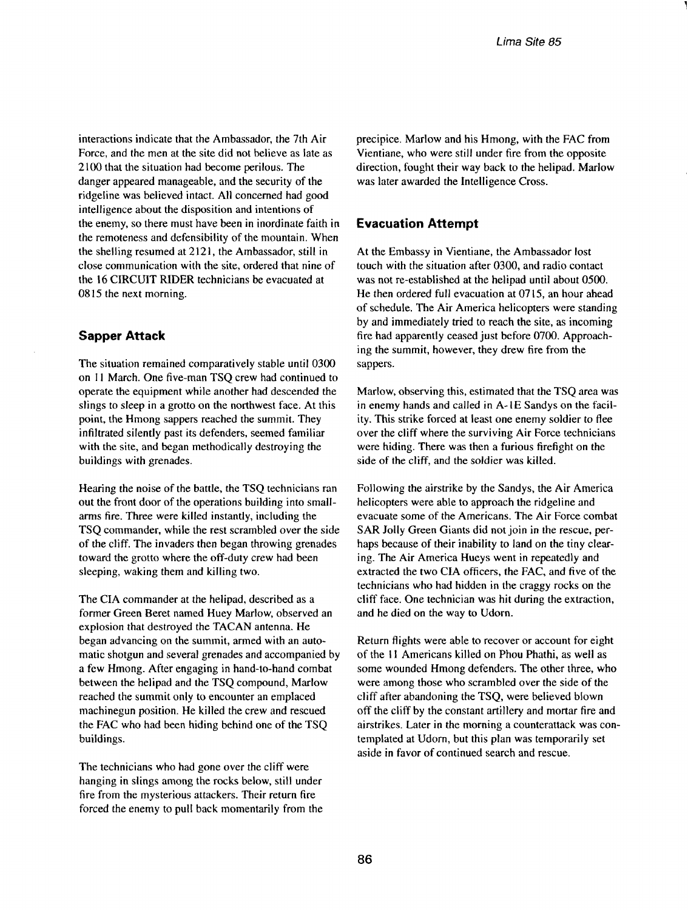**interactions indicate that the Ambassador, the 7th Air Force, and the men at the site did not believe as late as 2100 that the situation had become perilous. The danger appeared manageable, and the security of the ridgeline was believed intact. All concerned had good intelligence about the disposition and intentions of the enemy, so there must have been in inordinate faith in the remoteness and defensibility of the mountain. When the shelling resumed at 2121, the Ambassador, still in close communication with the site, ordered that nine of the <sup>16</sup> CIRCUiT RIDER technicians be evacuated at 0815 the next morning.**

### **Sapper Attack**

**The situation remained comparatively stable until 0300 on II March. One five-man TSQ crew had continued to operate the equipment while another had descended the slings to sleep in <sup>a</sup> grotto on the northwest face. At this point, the ilmong sappers reached the summit. They infiltrated silently past its defenders, seemed familiar with the site, and began methodically destroying the buildings with grenades.**

**Hearing the noise of the battle, the TSQ technicians ran out the front door of the operations building into smallarms fire. Three were killed instantly, including the TSQ commander, while the rest scrambled over the side of the cliff. The invaders then began throwing grenades toward the grotto where the off-duty crew had been sleeping, waking them and killing two.**

**The CIA commander at the helipad, described as <sup>a</sup> former Green Beret named Huey Marlow, observed an explosion that destroyed the TACAN antenna. He began advancing on the summit, armed with an auto matic shotgun and several grenades and accompanied by <sup>a</sup> few Hmong. After engaging in hand-to-hand combat between the helipad and the TSQ compound, Marlow reached the summit only to encounter an emplaced machinegun position. He killed the crew and rescued the FAC who had been hiding behind one of the TSQ buildings.**

**The technicians who had gone over the cliff were hanging in slings among the rocks below, still under fire from the mysterious attackers. Their return fire forced the enemy to pull back momentarily from the** **precipice. Maclow and his Hmong, with the FAC from Vientiane, who were still under fire from the opposite direction, fought their way back to the helipad. Marlow was later awarded the Intelligence Cross.**

#### **Evacuation Attempt**

**At the Embassy in Vientiane, the Ambassador lost touch with the situation after 0300, and radio contact was not re-established at the helipad until about 0500. He then ordered full evacuation at 0715, an hour ahead of schedule. The Air America helicopters were standing by and immediately tried to reach the site, as incoming fire had apparently ceased just before 0700. Approach ing the summit, however, they drew fire from the sappers.**

**Marlow, observing this, estimated that the TSQ area was in enemy hands and called in A-I E Sandys on the facil ity. This strike forced at least one enemy soldier to flee over the cliff where the surviving Air Force technicians were hiding. There was then a furious firefight on the side of the cliff, and the soldier was killed.**

**Following the airstrike by the Sandys, the Air America helicopters were able to approach the ridgeline and evacuate some of the Americans. The Air Force combat SAR Jolly Green Giants did not join in the rescue, per haps because of their inability to land on the tiny clear ing. The Air America Hueys went in repeatedly and extracted the two CIA officers, the FAC, and five of the technicians who had hidden in the craggy rocks on the cliff face. One technician was hit during the extraction, and he died on the way to Udorn.**

**Return flights were able to recover or account for eight of the Ii Americans killed on Phou Phathi, as well as some wounded Hmong defenders. The other three, who were among those who scrambled over the side of the cliff after abandoning the TSQ, were believed blown off the cliff by the constant artillery and mortar fire and airstrikes. Later in the morning <sup>a</sup> counterattack was con templated at Udorn, but this plan was temporarily set aside in favor of continued search and rescue.**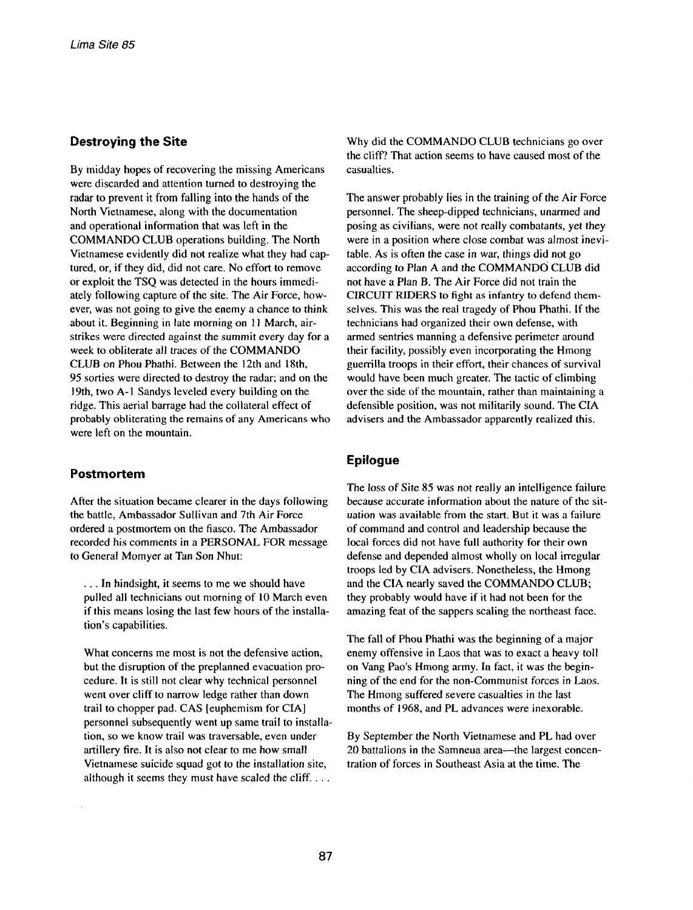#### **Destroying the Site**

**By midday hopes of recovering the missing Americans were discarded and attention turned to destroying the radar to prevent it from falling into the hands of the North Vietnamese, along with the documentation and operational information that was left in the COMMANDO CLUB operations building. The North Vietnamese evidently did not realize what they had cap tured, or, if they did, did not care. No effort to remove or exploit the TSQ was detected in the hours immedi ately following capture of the site. The Air Force, how ever, was not going to give the enemy <sup>a</sup> chance to think about it. Beginning in late morning on <sup>11</sup> March, airstrikes were directed against the summit every day for <sup>a</sup> week to obliterate all traces of the COMMANDO CLUB on Phou Phathi. Between the 12th and 18th, 95 sorties were directed to destroy the radar; and on the 19th, two A-I Sandys leveled every building on the ridge. This aerial barrage had the collateral effect of probably obliterating the remains of any Americans who were left on the mountain.**

#### **Postmortem**

**After the situation became clearer in the days following the battle, Ambassador Sullivan and 7th Air Force ordered <sup>a</sup> postmortem on the fiasco. The Ambassador recorded his comments in <sup>a</sup> PERSONAL FOR message to General Momyer at Tan Son Nhut:**

**In hindsight, it seems to me we should have pulled all technicians out morning of 10 March even if this means losing the last few hours of the installa tion's** capabilities.

**What concerns me most is not the defensive action, but the disruption of the preplanned evacuation pro cedure. It is still not clear why technical personnel went over cliff to narrow ledge rather than down trail to** chopper pad. CAS [euphemism for CIA] **personnel subsequently went up same trail to installa tion, so we know trail was traversable, even under artillery fire. It is also not clear to me how small Vietnamese suicide squad got to the installation site, although it seems they must have scaled the cliff.**

**Why did the COMMANDO CLUB technicians go over the cliff? That action seems to have caused most of the casualties.**

**The answer probably lies in the training of the Air Force personnel. The sheep-dipped technicians, unarmed and posing as civilians, were not really combatants, yet they were in a position where close combat was almost inevi table. As is often the case in war, things did not go according to Plan A and the COMMANDO CLUB did not have a Plan B. The Air Force did not train the CIRCUIT RIDERS to fight as infantry to defend them selves. This was the real tragedy of Phou Phathi. If the technicians had organized their own defense, with armed sentries manning a defensive perimeter around their facility, possibly even incorporating the Hmong guerrilla troops in their effort, their chances of survival would have been much greater. The tactic of climbing over the side of the mountain, rather than maintaining a defensible position, was not militarily sound. The CIA advisers and the Ambassador apparently realized this.**

## **Epilogue**

**The loss of Site 85 was not really an intelligence failure because accurate information about the nature of the sit uation was available from the start. But it was a failure of command and control and leadership because the local forces did not have full authority for their own defense and depended almost wholly on local irregular troops led by CIA advisers. Nonetheless, the Hmong and the CIA nearly saved the COMMANDO CLUB; they probably would have if it had not been for the amazing feat of the sappers scaling the northeast face.**

**The fall of Phou Phathi was the beginning of <sup>a</sup> major enemy offensive in Laos that was to exact <sup>a</sup> heavy toll on Vang Paos Hmong army. In fact, it was the beginfling of the end for the non-Communist forces in Laos. The Hmong suffered severe casualties in the last months of 1968, and PL advances were inexorable.**

**By September the North Vietnamese and PL had over** 20 **battalions** in the Samneua area-the largest concen**tration of forces in Southeast Asia at the time. The**